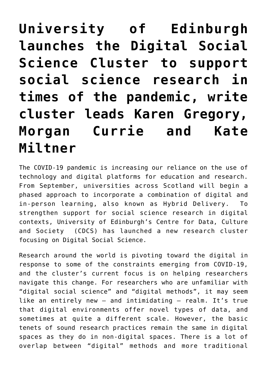**[University of Edinburgh](https://blogs.ed.ac.uk/covid19perspectives/2020/06/05/university-of-edinburgh-launches-the-digital-social-science-cluster-to-support-social-science-research-in-times-of-the-pandemic-write-cluster-leads-karen-gregory-morgan-currie-and-kate-miltner/) [launches the Digital Social](https://blogs.ed.ac.uk/covid19perspectives/2020/06/05/university-of-edinburgh-launches-the-digital-social-science-cluster-to-support-social-science-research-in-times-of-the-pandemic-write-cluster-leads-karen-gregory-morgan-currie-and-kate-miltner/) [Science Cluster to support](https://blogs.ed.ac.uk/covid19perspectives/2020/06/05/university-of-edinburgh-launches-the-digital-social-science-cluster-to-support-social-science-research-in-times-of-the-pandemic-write-cluster-leads-karen-gregory-morgan-currie-and-kate-miltner/) [social science research in](https://blogs.ed.ac.uk/covid19perspectives/2020/06/05/university-of-edinburgh-launches-the-digital-social-science-cluster-to-support-social-science-research-in-times-of-the-pandemic-write-cluster-leads-karen-gregory-morgan-currie-and-kate-miltner/) [times of the pandemic, write](https://blogs.ed.ac.uk/covid19perspectives/2020/06/05/university-of-edinburgh-launches-the-digital-social-science-cluster-to-support-social-science-research-in-times-of-the-pandemic-write-cluster-leads-karen-gregory-morgan-currie-and-kate-miltner/) [cluster leads Karen Gregory,](https://blogs.ed.ac.uk/covid19perspectives/2020/06/05/university-of-edinburgh-launches-the-digital-social-science-cluster-to-support-social-science-research-in-times-of-the-pandemic-write-cluster-leads-karen-gregory-morgan-currie-and-kate-miltner/) [Morgan Currie and Kate](https://blogs.ed.ac.uk/covid19perspectives/2020/06/05/university-of-edinburgh-launches-the-digital-social-science-cluster-to-support-social-science-research-in-times-of-the-pandemic-write-cluster-leads-karen-gregory-morgan-currie-and-kate-miltner/) [Miltner](https://blogs.ed.ac.uk/covid19perspectives/2020/06/05/university-of-edinburgh-launches-the-digital-social-science-cluster-to-support-social-science-research-in-times-of-the-pandemic-write-cluster-leads-karen-gregory-morgan-currie-and-kate-miltner/)**

The COVID-19 pandemic is increasing our reliance on the use of technology and digital platforms for education and research. From September, universities across Scotland will begin a phased approach to incorporate a combination of digital and in-person learning, also known as Hybrid Delivery. To strengthen support for social science research in digital contexts, University of Edinburgh's Centre for [Data, Culture](https://www.cdcs.ed.ac.uk/) [and Societ](https://www.cdcs.ed.ac.uk/)y (CDCS) has launched a new research cluster focusing on [Digital Social Science.](https://www.cdcs.ed.ac.uk/research-clusters/digital-social-science#paragraph-id--239)

Research around the world is pivoting toward the digital in response to some of the constraints emerging from COVID-19, and the cluster's current focus is on helping researchers navigate this change. For researchers who are unfamiliar with "digital social science" and "digital methods", it may seem like an entirely new – and intimidating – realm. It's true that digital environments offer novel types of data, and sometimes at quite a different scale. However, the basic tenets of sound research practices remain the same in digital spaces as they do in non-digital spaces. There is a lot of overlap between "digital" methods and more traditional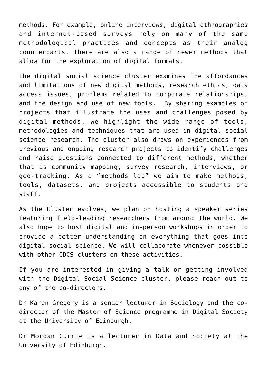methods. For example, online interviews, digital ethnographies and internet-based surveys rely on many of the same methodological practices and concepts as their analog counterparts. There are also a range of newer methods that allow for the exploration of digital formats.

The digital social science cluster examines the affordances and limitations of new digital methods, research ethics, data access issues, problems related to corporate relationships, and the design and use of new tools. By sharing examples of projects that illustrate the uses and challenges posed by digital methods, we highlight the wide range of tools, methodologies and techniques that are used in digital social science research. The cluster also draws on experiences from previous and ongoing research projects to identify challenges and raise questions connected to different methods, whether that is community mapping, survey research, interviews, or geo-tracking. As a "methods lab" we aim to make methods, tools, datasets, and projects accessible to students and staff.

As the Cluster evolves, we plan on hosting a speaker series featuring field-leading researchers from around the world. We also hope to host digital and in-person workshops in order to provide a better understanding on everything that goes into digital social science. We will collaborate whenever possible with other CDCS clusters on these activities.

If you are interested in giving a talk or getting involved with the Digital Social Science cluster, please reach out to any of the co-directors.

[Dr Karen Gregory](http://www.sps.ed.ac.uk/staff/sociology/karen_gregory) is a senior lecturer in Sociology and the codirector of the Master of Science programme in Digital Society at the University of Edinburgh.

[Dr Morgan Currie](http://www.stis.ed.ac.uk/people/academic_staff/morgan_currie) is a lecturer in Data and Society at the University of Edinburgh.